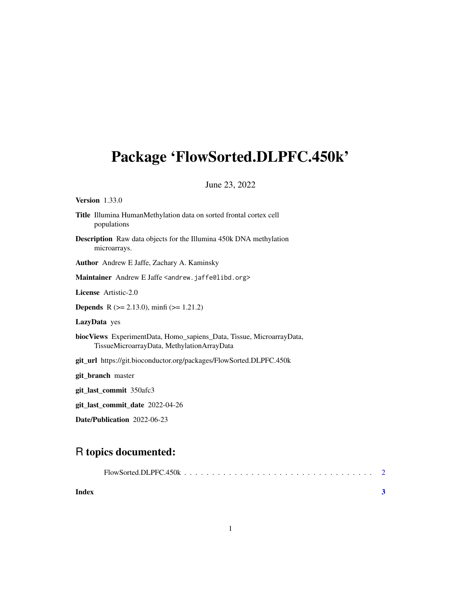## <span id="page-0-0"></span>Package 'FlowSorted.DLPFC.450k'

#### June 23, 2022

Version 1.33.0

- Title Illumina HumanMethylation data on sorted frontal cortex cell populations
- Description Raw data objects for the Illumina 450k DNA methylation microarrays.

Author Andrew E Jaffe, Zachary A. Kaminsky

Maintainer Andrew E Jaffe <andrew.jaffe@libd.org>

License Artistic-2.0

**Depends** R ( $>= 2.13.0$ ), minfi ( $>= 1.21.2$ )

LazyData yes

biocViews ExperimentData, Homo\_sapiens\_Data, Tissue, MicroarrayData, TissueMicroarrayData, MethylationArrayData

git\_url https://git.bioconductor.org/packages/FlowSorted.DLPFC.450k

git\_branch master

git\_last\_commit 350afc3

git\_last\_commit\_date 2022-04-26

Date/Publication 2022-06-23

### R topics documented:

| Index |  |  |  |  |  |  |  |  |  |  |  |  |  |  |
|-------|--|--|--|--|--|--|--|--|--|--|--|--|--|--|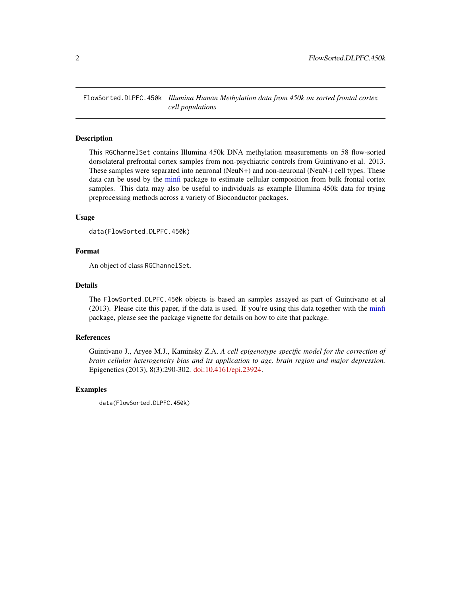<span id="page-1-0"></span>FlowSorted.DLPFC.450k *Illumina Human Methylation data from 450k on sorted frontal cortex cell populations*

#### Description

This RGChannelSet contains Illumina 450k DNA methylation measurements on 58 flow-sorted dorsolateral prefrontal cortex samples from non-psychiatric controls from Guintivano et al. 2013. These samples were separated into neuronal (NeuN+) and non-neuronal (NeuN-) cell types. These data can be used by the [minfi](#page-0-0) package to estimate cellular composition from bulk frontal cortex samples. This data may also be useful to individuals as example Illumina 450k data for trying preprocessing methods across a variety of Bioconductor packages.

#### Usage

```
data(FlowSorted.DLPFC.450k)
```
#### Format

An object of class RGChannelSet.

#### Details

The FlowSorted.DLPFC.450k objects is based an samples assayed as part of Guintivano et al (2013). Please cite this paper, if the data is used. If you're using this data together with the [minfi](#page-0-0) package, please see the package vignette for details on how to cite that package.

#### References

Guintivano J., Aryee M.J., Kaminsky Z.A. *A cell epigenotype specific model for the correction of brain cellular heterogeneity bias and its application to age, brain region and major depression.* Epigenetics (2013), 8(3):290-302. [doi:10.4161/epi.23924.](https://doi.org/10.4161/epi.23924)

#### Examples

data(FlowSorted.DLPFC.450k)